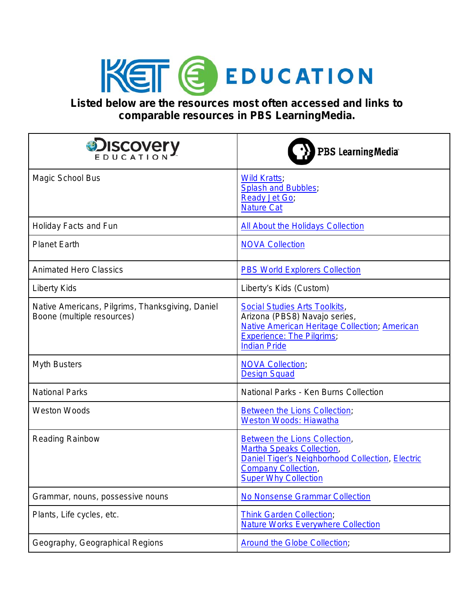

**Listed below are the resources most often accessed and links to comparable resources in PBS LearningMedia.**

| <b>DISCOVERY</b>                                                               | PBS LearningMedia®                                                                                                                                                                       |
|--------------------------------------------------------------------------------|------------------------------------------------------------------------------------------------------------------------------------------------------------------------------------------|
| Magic School Bus                                                               | <b>Wild Kratts</b> ,<br><b>Splash and Bubbles;</b><br><b>Ready Jet Go;</b><br><b>Nature Cat</b>                                                                                          |
| Holiday Facts and Fun                                                          | <b>All About the Holidays Collection</b>                                                                                                                                                 |
| <b>Planet Earth</b>                                                            | <b>NOVA Collection</b>                                                                                                                                                                   |
| <b>Animated Hero Classics</b>                                                  | <b>PBS World Explorers Collection</b>                                                                                                                                                    |
| <b>Liberty Kids</b>                                                            | Liberty's Kids (Custom)                                                                                                                                                                  |
| Native Americans, Pilgrims, Thanksgiving, Daniel<br>Boone (multiple resources) | <b>Social Studies Arts Toolkits,</b><br>Arizona (PBS8) Navajo series,<br><b>Native American Heritage Collection, American</b><br><b>Experience: The Pilgrims;</b><br><b>Indian Pride</b> |
| <b>Myth Busters</b>                                                            | <b>NOVA Collection;</b><br><b>Design Squad</b>                                                                                                                                           |
| <b>National Parks</b>                                                          | National Parks - Ken Burns Collection                                                                                                                                                    |
| <b>Weston Woods</b>                                                            | <b>Between the Lions Collection,</b><br><b>Weston Woods: Hiawatha</b>                                                                                                                    |
| <b>Reading Rainbow</b>                                                         | Between the Lions Collection,<br><b>Martha Speaks Collection,</b><br>Daniel Tiger's Neighborhood Collection, Electric<br><b>Company Collection,</b><br><b>Super Why Collection</b>       |
| Grammar, nouns, possessive nouns                                               | <b>No Nonsense Grammar Collection</b>                                                                                                                                                    |
| Plants, Life cycles, etc.                                                      | <b>Think Garden Collection;</b><br><b>Nature Works Everywhere Collection</b>                                                                                                             |
| Geography, Geographical Regions                                                | <b>Around the Globe Collection;</b>                                                                                                                                                      |